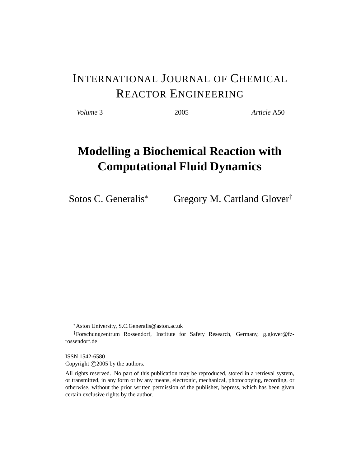# INTERNATIONAL JOURNAL OF CHEMICAL REACTOR ENGINEERING

## **Modelling a Biochemical Reaction with Computational Fluid Dynamics**

Sotos C. Generalis<sup>\*</sup> Gregory M. Cartland Glover<sup>†</sup>

<sup>∗</sup>Aston University, S.C.Generalis@aston.ac.uk

†Forschungzentrum Rossendorf, Institute for Safety Research, Germany, g.glover@fzrossendorf.de

ISSN 1542-6580 Copyright  $\odot$  2005 by the authors.

All rights reserved. No part of this publication may be reproduced, stored in a retrieval system, or transmitted, in any form or by any means, electronic, mechanical, photocopying, recording, or otherwise, without the prior written permission of the publisher, bepress, which has been given certain exclusive rights by the author.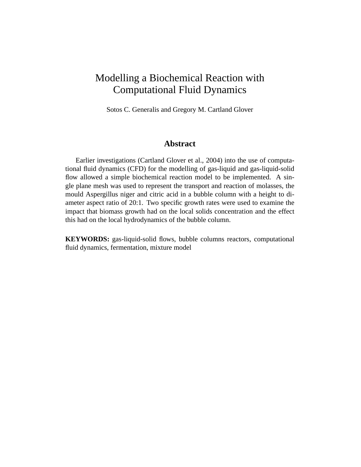### Modelling a Biochemical Reaction with Computational Fluid Dynamics

Sotos C. Generalis and Gregory M. Cartland Glover

### **Abstract**

Earlier investigations (Cartland Glover et al., 2004) into the use of computational fluid dynamics (CFD) for the modelling of gas-liquid and gas-liquid-solid flow allowed a simple biochemical reaction model to be implemented. A single plane mesh was used to represent the transport and reaction of molasses, the mould Aspergillus niger and citric acid in a bubble column with a height to diameter aspect ratio of 20:1. Two specific growth rates were used to examine the impact that biomass growth had on the local solids concentration and the effect this had on the local hydrodynamics of the bubble column.

**KEYWORDS:** gas-liquid-solid flows, bubble columns reactors, computational fluid dynamics, fermentation, mixture model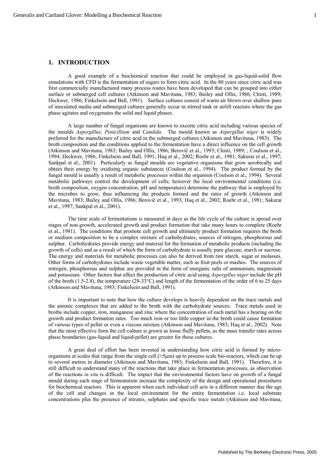#### **1. INTRODUCTION**

A good example of a biochemical reaction that could be employed in gas-liquid-solid flow simulations with CFD is the fermentation of sugars to form citric acid. In the 80 years since citric acid was first commercially manufactured many process routes have been developed that can be grouped into either surface or submerged cell cultures (Atkinson and Mavituna, 1983; Bailey and Ollis, 1986; Chisti, 1989; Deckwer, 1986; Finkelsein and Ball, 1991). Surface cultures consist of warm air blown over shallow pans of inoculated media and submerged cultures generally occur in stirred tank or airlift reactors where the gas phase agitates and oxygenates the solid and liquid phases.

A large number of fungal organisms are known to excrete citric acid including various species of the moulds *Aspergillus*, *Penicillium* and *Candida*. The mould known as *Aspergillus niger* is widely preferred for the manufacture of citric acid in the submerged cultures (Atkinson and Mavituna, 1983). The broth composition and the conditions applied to the fermentation have a direct influence on the cell growth (Atkinson and Mavituna, 1983; Bailey and Ollis, 1986; Berovič et al., 1993; Chisti, 1989; ; Coulson et al., 1994; Deckwer, 1986; Finkelsein and Ball, 1991; Haq et al., 2002; Roehr et al., 1981; Sakurai et al., 1997; Sankpal et al., 2001). Particularly as fungal moulds are vegetative organisms that grow aerobically and obtain their energy by oxidising organic substances (Coulson et al., 1994). The product formed by the fungal mould is usually a result of metabolic processes within the organism (Coulson et al., 1994). Several metabolic pathways control the development of cells; however the local environmental conditions (i.e. broth composition, oxygen concentration, pH and temperature) determine the pathway that is employed by the microbes to grow, thus influencing the products formed and the rates of growth (Atkinson and Mavituna, 1983; Bailey and Ollis, 1986; Berovič et al., 1993; Haq et al., 2002; Roehr et al., 1981; Sakurai et al., 1997; Sankpal et al., 2001).

The time scale of fermentations is measured in days as the life cycle of the culture is spread over stages of non-growth, accelerated growth and product formation that take many hours to complete (Roehr et al., 1981). The conditions that promote cell growth and ultimately product formation requires the broth or medium composition to be a complex mixture of carbohydrates, sources of nitrogen, phosphorous and sulphur. Carbohydrates provide energy and material for the formation of metabolic products (including the growth of cells) and as a result of which the form of carbohydrate is usually pure glucose, starch or sucrose. The energy and materials for metabolic processes can also be derived from raw starch, sugar or molasses. Other forms of carbohydrates include waste vegetable matter, such as fruit peels or mashes. The sources of nitrogen, phosphorous and sulphur are provided in the form of inorganic salts of ammonium, magnesium and potassium. Other factors that affect the production of citric acid using *Aspergillus niger* include the pH of the broth (1.5-2.8), the temperature (28-33 $^{\circ}$ C) and length of the fermentation of the order of 6 to 25 days (Atkinson and Mavituna, 1983; Finkelsein and Ball, 1991).

It is important to note that how the culture develops is heavily dependent on the trace metals and the anionic complexes that are added to the broth with the carbohydrate sources. Trace metals used in broths include copper, iron, manganese and zinc where the concentration of each metal has a bearing on the growth and product formation rates. Too much iron or too little copper in the broth could cause formation of various types of pellet or even a viscous mixture (Atkinson and Mavituna, 1983; Haq et al., 2002). Note that the most effective form the cell culture is grown as loose fluffy pellets, as the mass transfer rates across phase boundaries (gas-liquid and liquid-pellet) are greater for these cultures.

A great deal of effort has been invested in understanding how citric acid is formed by microorganisms at scales that range from the single cell  $(>5µm)$  up to process scale bio-reactors, which can be up to several metres in diameter (Atkinson and Mavituna, 1983; Finkelsein and Ball, 1991). Therefore, it is still difficult to understand many of the reactions that take place in fermentation processes, as observation of the reactions *in situ* is difficult. The impact that the environmental factors have on growth of a fungal mould during each stage of fermentation increase the complexity of the design and operational procedures for biochemical reactors. This is apparent when each individual cell acts in a different manner due the age of the cell and changes in the local environment for the entire fermentation i.e. local substrate concentrations plus the presence of nitrates, sulphates and specific trace metals (Atkinson and Mavituna,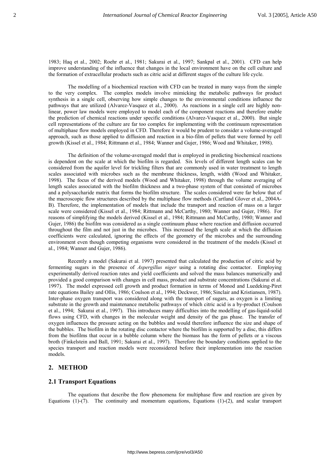1983; Haq et al., 2002; Roehr et al., 1981; Sakurai et al., 1997; Sankpal et al., 2001). CFD can help improve understanding of the influence that changes in the local environment have on the cell culture and the formation of extracellular products such as citric acid at different stages of the culture life cycle.

The modelling of a biochemical reaction with CFD can be treated in many ways from the simple to the very complex. The complex models involve mimicking the metabolic pathways for product synthesis in a single cell, observing how simple changes to the environmental conditions influence the pathways that are utilized (Alvarez-Vasquez et al., 2000). As reactions in a single cell are highly nonlinear, power law models were employed to model each of the component reactions and therefore enable the prediction of chemical reactions under specific conditions (Alvarez-Vasquez et al., 2000). But single cell representations of the culture are far too complex for implementing with the continuum representation of multiphase flow models employed in CFD. Therefore it would be prudent to consider a volume-averaged approach, such as those applied to diffusion and reaction in a bio-film of pellets that were formed by cell growth (Kissel et al., 1984; Rittmann et al., 1984; Wanner and Gujer, 1986; Wood and Whitaker, 1998).

The definition of the volume-averaged model that is employed in predicting biochemical reactions is dependent on the scale at which the biofilm is regarded. Six levels of different length scales can be considered from the aquifer level for trickling filters that are commonly used in water treatment to length scales associated with microbes such as the membrane thickness, length, width (Wood and Whitaker, 1998). The focus of the derived models (Wood and Whitaker, 1998) through the volume averaging of length scales associated with the biofilm thickness and a two-phase system of that consisted of microbes and a polysaccharide matrix that forms the biofilm structure. The scales considered were far below that of the macroscopic flow structures described by the multiphase flow methods (Cartland Glover et al., 2004A-B). Therefore, the implementation of models that include the transport and reaction of mass on a larger scale were considered (Kissel et al., 1984; Rittmann and McCarthy, 1980; Wanner and Gujer, 1986). For reasons of simplifying the models derived (Kissel et al., 1984; Rittmann and McCarthy, 1980; Wanner and Gujer, 1986) the biofilm was considered as a single continuum phase where reaction and diffusion occurred throughout the film and not just in the microbes. This increased the length scale at which the diffusion coefficients were calculated, ignoring the effects of the geometry of the microbes and the surrounding environment even though competing organisms were considered in the treatment of the models (Kissel et al., 1984; Wanner and Gujer, 1986).

Recently a model (Sakurai et al. 1997) presented that calculated the production of citric acid by fermenting sugars in the presence of *Aspergillus niger* using a rotating disc contactor. Employing experimentally derived reaction rates and yield coefficients and solved the mass balances numerically and provided a good comparison with changes in cell mass, product and substrate concentrations (Sakurai et al. 1997). The model expressed cell growth and product formation in terms of Monod and Luedeking-Piret rate equations Bailey and Ollis, 1986; Coulson et al., 1994; Deckwer, 1986; Sinclair and Kristiansen, 1987). Inter-phase oxygen transport was considered along with the transport of sugars, as oxygen is a limiting substrate in the growth and maintenance metabolic pathways of which citric acid is a by-product (Coulson et al., 1994; Sakurai et al., 1997). This introduces many difficulties into the modelling of gas-liquid-solid flows using CFD, with changes in the molecular weight and density of the gas phase. The transfer of oxygen influences the pressure acting on the bubbles and would therefore influence the size and shape of the bubbles. The biofilm in the rotating disc contactor where the biofilm is supported by a disc, this differs from the biofilms that occur in a bubble column where the biomass has the form of pellets or a viscous broth (Finkelstein and Ball, 1991; Sakurai et al., 1997). Therefore the boundary conditions applied to the species transport and reaction models were reconsidered before their implementation into the reaction models.

#### **2. METHOD**

#### **2.1 Transport Equations**

The equations that describe the flow phenomena for multiphase flow and reaction are given by Equations  $(1)-(7)$ . The continuity and momentum equations, Equations  $(1)-(2)$ , and scalar transport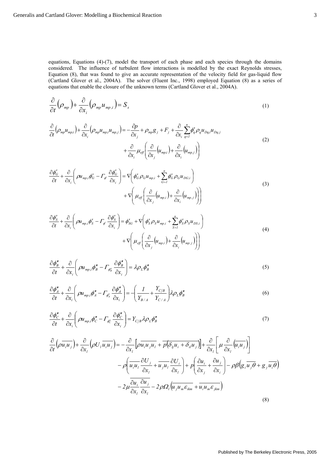equations, Equations (4)-(7), model the transport of each phase and each species through the domains considered. The influence of turbulent flow interactions is modelled by the exact Reynolds stresses, Equation (8), that was found to give an accurate representation of the velocity field for gas-liquid flow (Cartland Glover et al., 2004A). The solver (Fluent Inc., 1998) employed Equation (8) as a series of equations that enable the closure of the unknown terms (Cartland Glover et al., 2004A).

$$
\frac{\partial}{\partial t} \left( \rho_{mp} \right) + \frac{\partial}{\partial x_i} \left( \rho_{mp} u_{mp,i} \right) = S_s \tag{1}
$$

$$
\frac{\partial}{\partial t} \left( \rho_{mp} u_{mp,i} \right) + \frac{\partial}{\partial x_i} \left( \rho_{mp} u_{mp,i} u_{mp,j} \right) = -\frac{\partial p}{\partial x_j} + \rho_{mp} g_j + F_j + \frac{\partial}{\partial x_i} \sum_{q=1}^n \phi'_q \rho_q u_{Dq,i} u_{Dq,j} \n+ \frac{\partial}{\partial x_i} \mu_{eff} \left( \frac{\partial}{\partial x_j} \left( u_{mp,i} \right) + \frac{\partial}{\partial x_i} \left( u_{mp,j} \right) \right)
$$
\n(2)

$$
\frac{\partial \phi'_{G}}{\partial t} + \frac{\partial}{\partial x_{i}} \left( \rho u_{mp,i} \phi'_{G} - \Gamma_{\phi'} \frac{\partial \phi'_{G}}{\partial x_{i}} \right) = \nabla \left( \phi'_{G} \rho_{G} u_{mp,i} + \sum_{G=1}^{n} \phi'_{G} \rho_{G} u_{DG,i} \right) + \nabla \left( \mu_{eff} \left( \frac{\partial}{\partial x_{j}} \left( u_{mp,i} \right) + \frac{\partial}{\partial x_{i}} \left( u_{mp,j} \right) \right) \right)
$$
\n(3)

$$
\frac{\partial \phi'_{S}}{\partial t} + \frac{\partial}{\partial x_{i}} \left( \rho u_{mp,i} \phi'_{S} - \Gamma_{\phi'} \frac{\partial \phi'_{S}}{\partial x_{i}} \right) = \phi'_{SG} + \nabla \left( \phi'_{S} \rho_{S} u_{mp,i} + \sum_{S=1}^{n} \phi'_{S} \rho_{S} u_{DS,i} \right) + \nabla \left( \mu_{eff} \left( \frac{\partial}{\partial x_{j}} \left( u_{mp,i} \right) + \frac{\partial}{\partial x_{i}} \left( u_{mp,j} \right) \right) \right)
$$
(4)

$$
\frac{\partial \phi_B''}{\partial t} + \frac{\partial}{\partial x_i} \left( \rho u_{mp,i} \phi_B'' - \Gamma_{\phi_B''} \frac{\partial \phi_B''}{\partial x_i} \right) = \lambda \rho_L \phi_B'' \tag{5}
$$

$$
\frac{\partial \phi''_A}{\partial t} + \frac{\partial}{\partial x_i} \left( \rho u_{mp,i} \phi''_A - \Gamma_{\phi'_A} \frac{\partial \phi''_A}{\partial x_i} \right) = -\left( \frac{I}{Y_{B/A}} + \frac{Y_{C/B}}{Y_{C/A}} \right) \lambda \rho_L \phi''_B \tag{6}
$$

$$
\frac{\partial \phi''_C}{\partial t} + \frac{\partial}{\partial x_i} \left( \rho u_{mp,i} \phi''_C - \Gamma_{\phi'_C} \frac{\partial \phi''_C}{\partial x_i} \right) = Y_{C/B} \lambda \rho_L \phi''_B \tag{7}
$$

$$
\frac{\partial}{\partial t} \left( \rho \overline{u_i u_j} \right) + \frac{\partial}{\partial x_i} \left( \rho U_i \overline{u_i u_j} \right) = -\frac{\partial}{\partial x_i} \left[ \rho \overline{u_i u_j u_i} + \overline{p} \left( \delta_{ij} u_i + \delta_{il} u_j \right) \right] + \frac{\partial}{\partial x_i} \left[ \mu \frac{\partial}{\partial x_i} \left( \overline{u_i u_j} \right) \right]
$$

$$
- \rho \left( \overline{u_i u_i} \frac{\partial U_j}{\partial x_i} + \overline{u_j u_i} \frac{\partial U_i}{\partial x_i} \right) + p \left( \frac{\partial u_i}{\partial x_j} + \frac{\partial u_j}{\partial x_i} \right) - \rho \beta \left( g_i \overline{u_j \theta} + g_j \overline{u_i \theta} \right)
$$

$$
- 2 \mu \frac{\partial u_i}{\partial x_i} \frac{\partial u_j}{\partial x_i} - 2 \rho \Omega_i \left( \overline{u_j u_m \varepsilon_{ikm}} + \overline{u_i u_m \varepsilon_{jkm}} \right)
$$
(8)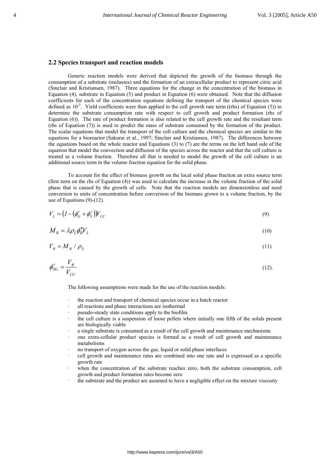#### **2.2 Species transport and reaction models**

Generic reaction models were derived that depicted the growth of the biomass through the consumption of a substrate (molasses) and the formation of an extracellular product to represent citric acid (Sinclair and Kristiansen, 1987). Three equations for the change in the concentration of the biomass in Equation (4), substrate in Equation (5) and product in Equation (6) were obtained. Note that the diffusion coefficients for each of the concentration equations defining the transport of the chemical species were defined as  $10^{-3}$ . Yield coefficients were then applied to the cell growth rate term ((rhs) of Equation (5)) to determine the substrate consumption rate with respect to cell growth and product formation (rhs of Equation (6)). The rate of product formation is also related to the cell growth rate and the resultant term (rhs of Equation (7)) is used to predict the mass of substrate consumed by the formation of the product. The scalar equations that model the transport of the cell culture and the chemical species are similar to the equations for a bioreactor (Sakurai et al., 1997; Sinclair and Kristiansen, 1987). The differences between the equations based on the whole reactor and Equations (3) to (7) are the terms on the left hand side of the equation that model the convection and diffusion of the species across the reactor and that the cell culture is treated as a volume fraction. Therefore all that is needed to model the growth of the cell culture is an additional source term in the volume fraction equation for the solid phase.

To account for the effect of biomass growth on the local solid phase fraction an extra source term (first term on the rhs of Equation (4)) was used to calculate the increase in the volume fraction of the solid phase that is caused by the growth of cells. Note that the reaction models are dimensionless and need conversion to units of concentration before conversion of the biomass grown to a volume fraction, by the use of Equations (9)-(12).

$$
V_L = (I - (\phi'_G + \phi'_S))V_{CC}
$$
\n(9)

$$
M_B = \lambda \rho_L \phi_B'' V_L \tag{10}
$$

$$
V_B = M_B / \rho_S \tag{11}
$$

$$
\phi'_{SG} = \frac{V_B}{V_{CC}}\tag{12}
$$

The following assumptions were made for the use of the reaction models:

- the reaction and transport of chemical species occur in a batch reactor
- all reactions and phase interactions are isothermal
- pseudo-steady state conditions apply to the biofilm
- · the cell culture is a suspension of loose pellets where initially one fifth of the solids present are biologically viable
- · a single substrate is consumed as a result of the cell growth and maintenance mechanisms
- · one extra-cellular product species is formed as a result of cell growth and maintenance metabolisms
- · no transport of oxygen across the gas, liquid or solid phase interfaces
- · cell growth and maintenance rates are combined into one rate and is expressed as a specific growth rate
- when the concentration of the substrate reaches zero, both the substrate consumption, cell growth and product formation rates become zero
- · the substrate and the product are assumed to have a negligible effect on the mixture viscosity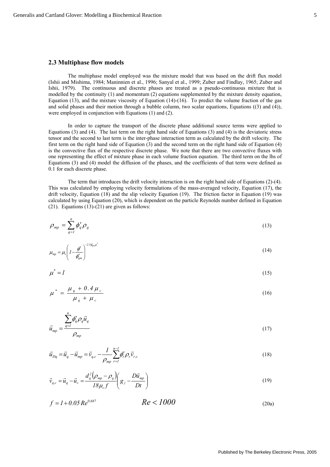The multiphase model employed was the mixture model that was based on the drift flux model (Ishii and Mishima, 1984; Maninnien et al., 1996; Sanyal et al., 1999; Zuber and Findlay, 1965; Zuber and Ishii, 1979). The continuous and discrete phases are treated as a pseudo-continuous mixture that is modelled by the continuity (1) and momentum (2) equations supplemented by the mixture density equation, Equation (13), and the mixture viscosity of Equation (14)-(16). To predict the volume fraction of the gas and solid phases and their motion through a bubble column, two scalar equations, Equations ((3) and (4)), were employed in conjunction with Equations (1) and (2).

In order to capture the transport of the discrete phase additional source terms were applied to Equations (3) and (4). The last term on the right hand side of Equations (3) and (4) is the deviatoric stress tensor and the second to last term is the inter-phase interaction term as calculated by the drift velocity. The first term on the right hand side of Equation  $(3)$  and the second term on the right hand side of Equation  $(4)$ is the convective flux of the respective discrete phase. We note that there are two convective fluxes with one representing the effect of mixture phase in each volume fraction equation. The third term on the lhs of Equations (3) and (4) model the diffusion of the phases, and the coefficients of that term were defined as 0.1 for each discrete phase.

The term that introduces the drift velocity interaction is on the right hand side of Equations (2)-(4). This was calculated by employing velocity formulations of the mass-averaged velocity, Equation (17), the drift velocity, Equation (18) and the slip velocity Equation (19). The friction factor in Equation (19) was calculated by using Equation (20), which is dependent on the particle Reynolds number defined in Equation  $(21)$ . Equations  $(13)-(21)$  are given as follows:

$$
\rho_{mp} = \sum_{q=1}^{n} \phi'_q \rho_q \tag{13}
$$

$$
\mu_{mp} = \mu_c \left( 1 - \frac{\phi'}{\phi'_{qm}} \right)^{-2.5\phi'_{qm}\mu^*} \tag{14}
$$

$$
\mu^* = I \tag{15}
$$

$$
\mu^* = \frac{\mu_q + 0.4 \mu_c}{\mu_q + \mu_c} \tag{16}
$$

$$
\vec{u}_{mp} = \frac{\sum_{q=1}^{n} \phi'_q \rho_q \vec{u}_q}{\rho_{mp}}
$$
\n(17)

$$
\vec{u}_{Dq} = \vec{u}_q - \vec{u}_{mp} = \vec{v}_{q,c} - \frac{1}{\rho_{mp}} \sum_{r=1}^{n-1} \phi'_r \rho_r \vec{v}_{r,c}
$$
\n(18)

$$
\vec{v}_{q,c} = \vec{u}_q - \vec{u}_c = \frac{d_q^2 \left(\rho_{mp} - \rho_q\right)}{18 \mu_c f} \left(g_j - \frac{D\vec{u}_{mp}}{Dt}\right)
$$
\n(19)

$$
f = I + 0.05 \, Re^{0.687} \tag{20a}
$$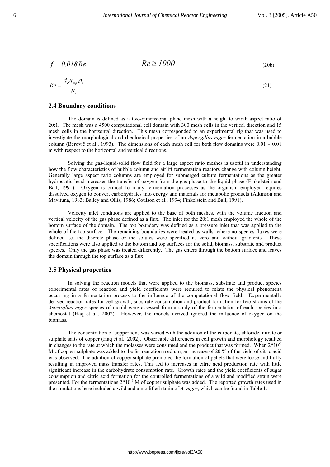$$
f = 0.018 \text{Re} \qquad \qquad Re \ge 1000 \qquad (20b)
$$

$$
Re = \frac{d_q u_{mp} \rho_c}{\mu_c} \tag{21}
$$

#### **2.4 Boundary conditions**

The domain is defined as a two-dimensional plane mesh with a height to width aspect ratio of 20:1. The mesh was a 4500 computational cell domain with 300 mesh cells in the vertical direction and 15 mesh cells in the horizontal direction. This mesh corresponded to an experimental rig that was used to investigate the morphological and rheological properties of an *Aspergillus niger* fermentation in a bubble column (Berovič et al., 1993). The dimensions of each mesh cell for both flow domains were  $0.01 \times 0.01$ m with respect to the horizontal and vertical directions.

Solving the gas-liquid-solid flow field for a large aspect ratio meshes is useful in understanding how the flow characteristics of bubble column and airlift fermentation reactors change with column height. Generally large aspect ratio columns are employed for submerged culture fermentations as the greater hydrostatic head increases the transfer of oxygen from the gas phase to the liquid phase (Finkelstein and Ball, 1991). Oxygen is critical to many fermentation processes as the organism employed requires dissolved oxygen to convert carbohydrates into energy and materials for metabolic products (Atkinson and Mavituna, 1983; Bailey and Ollis, 1986; Coulson et al., 1994; Finkelstein and Ball, 1991).

Velocity inlet conditions are applied to the base of both meshes, with the volume fraction and vertical velocity of the gas phase defined as a flux. The inlet for the 20:1 mesh employed the whole of the bottom surface of the domain. The top boundary was defined as a pressure inlet that was applied to the whole of the top surface. The remaining boundaries were treated as walls, where no species fluxes were defined i.e. the discrete phase or the solutes were specified as zero and without gradients. These specifications were also applied to the bottom and top surfaces for the solid, biomass, substrate and product species. Only the gas phase was treated differently. The gas enters through the bottom surface and leaves the domain through the top surface as a flux.

#### **2.5 Physical properties**

In solving the reaction models that were applied to the biomass, substrate and product species experimental rates of reaction and yield coefficients were required to relate the physical phenomena occurring in a fermentation process to the influence of the computational flow field. Experimentally derived reaction rates for cell growth, substrate consumption and product formation for two strains of the *Aspergillus niger* species of mould were assessed from a study of the fermentation of each species in a chemostat (Haq et al., 2002). However, the models derived ignored the influence of oxygen on the biomass.

The concentration of copper ions was varied with the addition of the carbonate, chloride, nitrate or sulphate salts of copper (Haq et al., 2002). Observable differences in cell growth and morphology resulted in changes to the rate at which the molasses were consumed and the product that was formed. When  $2*10<sup>-5</sup>$ M of copper sulphate was added to the fermentation medium, an increase of 20 % of the yield of citric acid was observed. The addition of copper sulphate promoted the formation of pellets that were loose and fluffy resulting in improved mass transfer rates. This led to increases in citric acid production rate with little significant increase in the carbohydrate consumption rate. Growth rates and the yield coefficients of sugar consumption and citric acid formation for the controlled fermentations of a wild and modified strain were presented. For the fermentations  $2*10<sup>-5</sup>$  M of copper sulphate was added. The reported growth rates used in the simulations here included a wild and a modified strain of *A. niger*, which can be found in Table 1.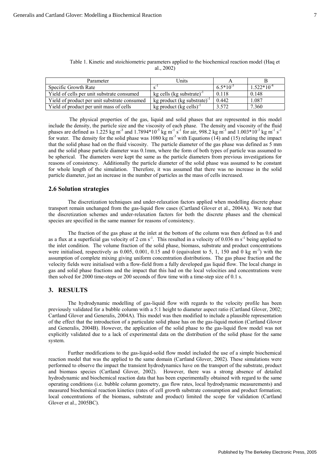| Parameter                                    | Units                                    |               |                |
|----------------------------------------------|------------------------------------------|---------------|----------------|
| Specific Growth Rate                         |                                          | $6.5*10^{-5}$ | $.522*10^{-4}$ |
| Yield of cells per unit substrate consumed   | $kg$ cells (kg substrate) <sup>-1</sup>  | 0.118         | 0.148          |
| Yield of product per unit substrate consumed | kg product $(kg \text{ substrate})^{-1}$ | 0.442         | .087           |
| Yield of product per unit mass of cells      | kg product $(kg \text{ cells})^{-1}$     | 3.572         | 7.360          |

Table 1. Kinetic and stoichiometric parameters applied to the biochemical reaction model (Haq et al., 2002)

 The physical properties of the gas, liquid and solid phases that are represented in this model include the density, the particle size and the viscosity of each phase. The density and viscosity of the fluid phases are defined as 1.225 kg m<sup>-3</sup> and 1.7894\*10<sup>-5</sup> kg m<sup>-1</sup> s<sup>-1</sup> for air, 998.2 kg m<sup>-3</sup> and 1.003\*10<sup>-3</sup> kg m<sup>-1</sup> s<sup>-1</sup> for water. The density for the solid phase was 1080 kg m<sup>-3</sup> with Equations (14) and (15) relating the impact that the solid phase had on the fluid viscosity. The particle diameter of the gas phase was defined as 5 mm and the solid phase particle diameter was 0.1mm, where the form of both types of particle was assumed to be spherical. The diameters were kept the same as the particle diameters from previous investigations for reasons of consistency. Additionally the particle diameter of the solid phase was assumed to be constant for whole length of the simulation. Therefore, it was assumed that there was no increase in the solid particle diameter, just an increase in the number of particles as the mass of cells increased.

#### **2.6 Solution strategies**

The discretization techniques and under-relaxation factors applied when modelling discrete phase transport remain unchanged from the gas-liquid flow cases (Cartland Glover et al., 2004A). We note that the discretization schemes and under-relaxation factors for both the discrete phases and the chemical species are specified in the same manner for reasons of consistency.

The fraction of the gas phase at the inlet at the bottom of the column was then defined as 0.6 and as a flux at a superficial gas velocity of 2 cm  $s^{-1}$ . This resulted in a velocity of 0.036 m  $s^{-1}$  being applied to the inlet condition. The volume fraction of the solid phase, biomass, substrate and product concentrations were initialised, respectively as  $0.005$ ,  $0.001$ ,  $0.15$  and 0 (equivalent to 5, 1, 150 and 0 kg m<sup>-3</sup>) with the assumption of complete mixing giving uniform concentration distributions. The gas phase fraction and the velocity fields were initialised with a flow-field from a fully developed gas liquid flow. The local change in gas and solid phase fractions and the impact that this had on the local velocities and concentrations were then solved for 2000 time-steps or 200 seconds of flow time with a time-step size of 0.1 s.

#### **3. RESULTS**

The hydrodynamic modelling of gas-liquid flow with regards to the velocity profile has been previously validated for a bubble column with a 5:1 height to diameter aspect ratio (Cartland Glover, 2002; Cartland Glover and Generalis, 2004A). This model was then modified to include a plausible representation of the effect that the introduction of a particulate solid phase has on the gas-liquid motion (Cartland Glover and Generalis, 2004B). However, the application of the solid phase to the gas-liquid flow model was not explicitly validated due to a lack of experimental data on the distribution of the solid phase for the same system.

Further modifications to the gas-liquid-solid flow model included the use of a simple biochemical reaction model that was the applied to the same domain (Cartland Glover, 2002). These simulations were performed to observe the impact the transient hydrodynamics have on the transport of the substrate, product and biomass species (Cartland Glover, 2002). However, there was a strong absence of detailed hydrodynamic and biochemical reaction data that has been experimentally obtained with regard to the same operating conditions (i.e. bubble column geometry, gas flow rates, local hydrodynamic measurements) and measured biochemical reaction kinetics (rates of cell growth substrate consumption and product formation; local concentrations of the biomass, substrate and product) limited the scope for validation (Cartland Glover et al., 2005BC).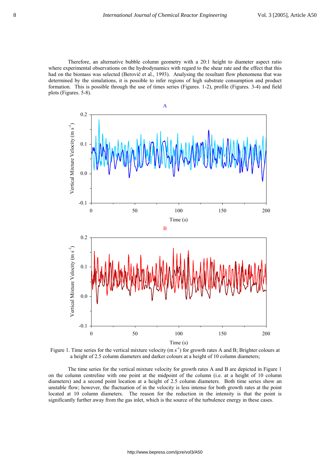Therefore, an alternative bubble column geometry with a 20:1 height to diameter aspect ratio where experimental observations on the hydrodynamics with regard to the shear rate and the effect that this had on the biomass was selected (Berovič et al., 1993). Analysing the resultant flow phenomena that was determined by the simulations, it is possible to infer regions of high substrate consumption and product formation. This is possible through the use of times series (Figures. 1-2), profile (Figures. 3-4) and field plots (Figures. 5-8).



Figure 1. Time series for the vertical mixture velocity (m  $s^{-1}$ ) for growth rates A and B; Brighter colours at a height of 2.5 column diameters and darker colours at a height of 10 column diameters;

The time series for the vertical mixture velocity for growth rates A and B are depicted in Figure 1 on the column centreline with one point at the midpoint of the column (i.e. at a height of 10 column diameters) and a second point location at a height of 2.5 column diameters. Both time series show an unstable flow; however, the fluctuation of in the velocity is less intense for both growth rates at the point located at 10 column diameters. The reason for the reduction in the intensity is that the point is significantly further away from the gas inlet, which is the source of the turbulence energy in these cases.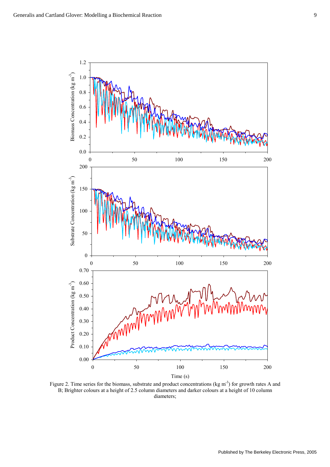

Figure 2. Time series for the biomass, substrate and product concentrations (kg m<sup>-3</sup>) for growth rates A and B; Brighter colours at a height of 2.5 column diameters and darker colours at a height of 10 column diameters;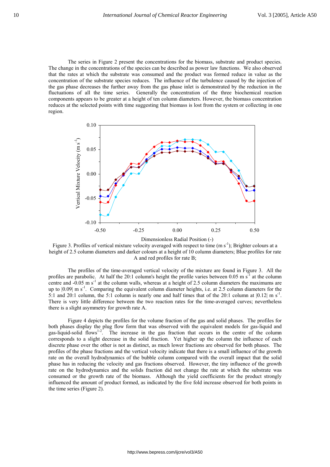The series in Figure 2 present the concentrations for the biomass, substrate and product species. The change in the concentrations of the species can be described as power law functions. We also observed that the rates at which the substrate was consumed and the product was formed reduce in value as the concentration of the substrate species reduces. The influence of the turbulence caused by the injection of the gas phase decreases the further away from the gas phase inlet is demonstrated by the reduction in the fluctuations of all the time series. Generally the concentration of the three biochemical reaction components appears to be greater at a height of ten column diameters. However, the biomass concentration reduces at the selected points with time suggesting that biomass is lost from the system or collecting in one region.



Figure 3. Profiles of vertical mixture velocity averaged with respect to time  $(m s<sup>-1</sup>)$ ; Brighter colours at a height of 2.5 column diameters and darker colours at a height of 10 column diameters; Blue profiles for rate A and red profiles for rate B;

The profiles of the time-averaged vertical velocity of the mixture are found in Figure 3. All the profiles are parabolic. At half the 20:1 column's height the profile varies between  $0.05 \text{ m s}^{-1}$  at the column centre and  $-0.05$  m s<sup>-1</sup> at the column walls, whereas at a height of 2.5 column diameters the maximums are up to  $|0.09|$  m s<sup>-1</sup>. Comparing the equivalent column diameter heights, i.e. at 2.5 column diameters for the 5:1 and 20:1 column, the 5:1 column is nearly one and half times that of the 20:1 column at  $|0.12|$  m s<sup>-1</sup>. There is very little difference between the two reaction rates for the time-averaged curves; nevertheless there is a slight asymmetry for growth rate A.

Figure 4 depicts the profiles for the volume fraction of the gas and solid phases. The profiles for both phases display the plug flow form that was observed with the equivalent models for gas-liquid and gas-liquid-solid flows<sup>1-2</sup>. The increase in the gas fraction that occurs in the centre of the column corresponds to a slight decrease in the solid fraction. Yet higher up the column the influence of each discrete phase over the other is not as distinct, as much lower fractions are observed for both phases. The profiles of the phase fractions and the vertical velocity indicate that there is a small influence of the growth rate on the overall hydrodynamics of the bubble column compared with the overall impact that the solid phase has in reducing the velocity and gas fractions observed. However, the tiny influence of the growth rate on the hydrodynamics and the solids fraction did not change the rate at which the substrate was consumed or the growth rate of the biomass. Although the yield coefficients for the product strongly influenced the amount of product formed, as indicated by the five fold increase observed for both points in the time series (Figure 2).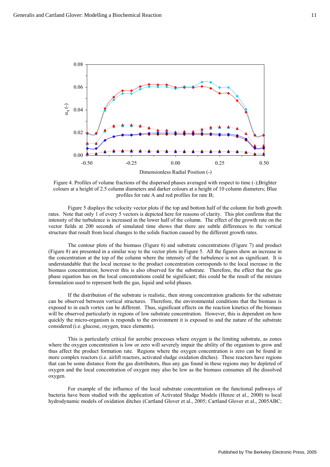

Figure 4. Profiles of volume fractions of the dispersed phases averaged with respect to time (-);Brighter colours at a height of 2.5 column diameters and darker colours at a height of 10 column diameters; Blue profiles for rate A and red profiles for rate B;

Figure 5 displays the velocity vector plots if the top and bottom half of the column for both growth rates. Note that only 1 of every 5 vectors is depicted here for reasons of clarity. This plot confirms that the intensity of the turbulence is increased in the lower half of the column. The effect of the growth rate on the vector fields at 200 seconds of simulated time shows that there are subtle differences to the vortical structure that result from local changes to the solids fraction caused by the different growth rates.

The contour plots of the biomass (Figure 6) and substrate concentrations (Figure 7) and product (Figure 8) are presented in a similar way to the vector plots in Figure 5. All the figures show an increase in the concentration at the top of the column where the intensity of the turbulence is not as significant. It is understandable that the local increase to the product concentration corresponds to the local increase in the biomass concentration; however this is also observed for the substrate. Therefore, the effect that the gas phase equation has on the local concentrations could be significant; this could be the result of the mixture formulation used to represent both the gas, liquid and solid phases.

If the distribution of the substrate is realistic, then strong concentration gradients for the substrate can be observed between vortical structures. Therefore, the environmental conditions that the biomass is exposed to in each vortex can be different. Thus, significant effects on the reaction kinetics of the biomass will be observed particularly in regions of low substrate concentration. However, this is dependent on how quickly the micro-organism is responds to the environment it is exposed to and the nature of the substrate considered (i.e. glucose, oxygen, trace elements).

This is particularly critical for aerobic processes where oxygen is the limiting substrate, as zones where the oxygen concentration is low or zero will severely impair the ability of the organism to grow and thus affect the product formation rate. Regions where the oxygen concentration is zero can be found in more complex reactors (i.e. airlift reactors, activated sludge oxidation ditches). These reactors have regions that can be some distance from the gas distributors, thus any gas found in these regions may be depleted of oxygen and the local concentration of oxygen may also be low as the biomass consumes all the dissolved oxygen.

For example of the influence of the local substrate concentration on the functional pathways of bacteria have been studied with the application of Activated Sludge Models (Henze et al., 2000) to local hydrodynamic models of oxidation ditches (Cartland Glover et al., 2005; Cartland Glover et al., 2005ABC;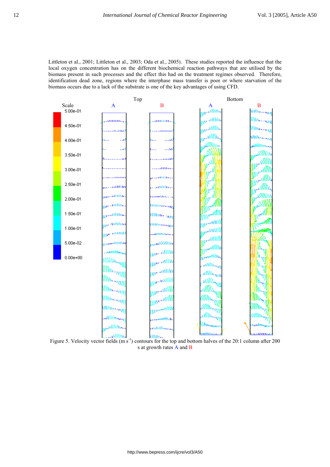Littleton et al., 2001; Littleton et al., 2003; Oda et al., 2005). These studies reported the influence that the local oxygen concentration has on the different biochemical reaction pathways that are utilised by the biomass present in such processes and the effect this had on the treatment regimes observed. Therefore, identification dead zone, regions where the interphase mass transfer is poor or where starvation of the biomass occurs due to a lack of the substrate is one of the key advantages of using CFD.



Figure 5. Velocity vector fields (m s<sup>-1</sup>) contours for the top and bottom halves of the 20:1 column after 200 s at growth rates A and B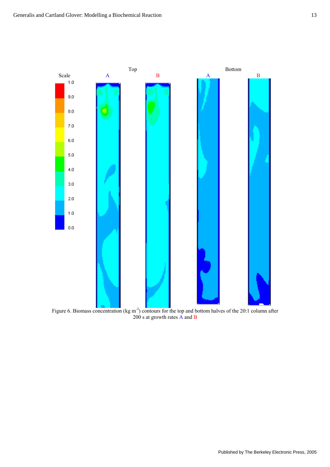

Figure 6. Biomass concentration (kg m<sup>-3</sup>) contours for the top and bottom halves of the 20:1 column after 200 s at growth rates A and B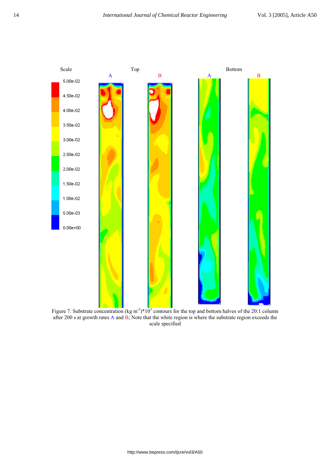

Figure 7. Substrate concentration (kg m<sup>-3</sup>)\*10<sup>3</sup> contours for the top and bottom halves of the 20:1 column after 200 s at growth rates A and B; Note that the white region is where the substrate region exceeds the scale specified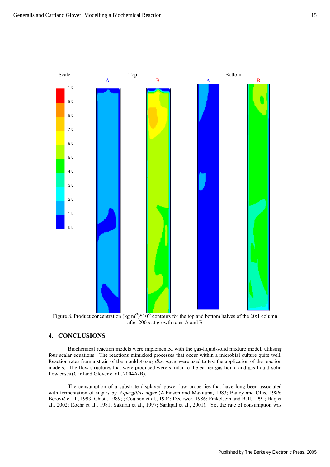

Figure 8. Product concentration (kg m<sup>-3</sup>)\*10<sup>-3</sup> contours for the top and bottom halves of the 20:1 column after 200 s at growth rates A and B

#### **4. CONCLUSIONS**

Biochemical reaction models were implemented with the gas-liquid-solid mixture model, utilising four scalar equations. The reactions mimicked processes that occur within a microbial culture quite well. Reaction rates from a strain of the mould *Aspergillus niger* were used to test the application of the reaction models. The flow structures that were produced were similar to the earlier gas-liquid and gas-liquid-solid flow cases(Cartland Glover et al., 2004A-B).

The consumption of a substrate displayed power law properties that have long been associated with fermentation of sugars by *Aspergillus niger* (Atkinson and Mavituna, 1983; Bailey and Ollis, 1986; Berovič et al., 1993; Chisti, 1989; ; Coulson et al., 1994; Deckwer, 1986; Finkelsein and Ball, 1991; Haq et al., 2002; Roehr et al., 1981; Sakurai et al., 1997; Sankpal et al., 2001). Yet the rate of consumption was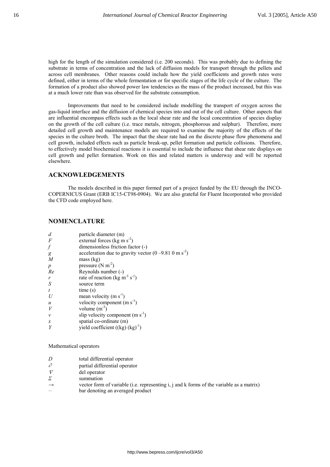high for the length of the simulation considered (i.e. 200 seconds). This was probably due to defining the substrate in terms of concentration and the lack of diffusion models for transport through the pellets and across cell membranes. Other reasons could include how the yield coefficients and growth rates were defined, either in terms of the whole fermentation or for specific stages of the life cycle of the culture. The formation of a product also showed power law tendencies as the mass of the product increased, but this was at a much lower rate than was observed for the substrate consumption.

Improvements that need to be considered include modelling the transport of oxygen across the gas-liquid interface and the diffusion of chemical species into and out of the cell culture. Other aspects that are influential encompass effects such as the local shear rate and the local concentration of species display on the growth of the cell culture (i.e. trace metals, nitrogen, phosphorous and sulphur). Therefore, more detailed cell growth and maintenance models are required to examine the majority of the effects of the species in the culture broth. The impact that the shear rate had on the discrete phase flow phenomena and cell growth, included effects such as particle break-up, pellet formation and particle collisions. Therefore, to effectively model biochemical reactions it is essential to include the influence that shear rate displays on cell growth and pellet formation. Work on this and related matters is underway and will be reported elsewhere.

#### **ACKNOWLEDGEMENTS**

The models described in this paper formed part of a project funded by the EU through the INCO-COPERNICUS Grant (ERB IC15-CT98-0904). We are also grateful for Fluent Incorporated who provided the CFD code employed here.

#### **NOMENCLATURE**

| d                |                                                               |
|------------------|---------------------------------------------------------------|
|                  | particle diameter (m)                                         |
| $\overline{F}$   | external forces (kg m $s^{-2}$ )                              |
|                  | dimensionless friction factor (-)                             |
| g                | acceleration due to gravity vector $(0-9.81 \text{ 0 m s}^2)$ |
| $\overline{M}$   | mass (kg)                                                     |
| $\boldsymbol{p}$ | pressure $(N \text{ m}^{-2})$                                 |
| Re               | Reynolds number (-)                                           |
| r                | rate of reaction (kg m <sup>-3</sup> s <sup>-1</sup> )        |
| ${\cal S}$       | source term                                                   |
| t.               | time(s)                                                       |
| U                | mean velocity $(m s-1)$                                       |
| $\boldsymbol{u}$ | velocity component $(m s-1)$                                  |
|                  | volume $(m^{-3})$                                             |
| v                | slip velocity component $(m s-1)$                             |
| $\mathcal{X}$    | spatial co-ordinate (m)                                       |
|                  | yield coefficient $((kg) (kg)-1)$                             |
|                  |                                                               |

Mathematical operators

- ∂ partial differential operator
- $\nabla$  del operator
- *Σ* summation
- vector form of variable (i.e. representing i, j and k forms of the variable as a matrix) *bar denoting an averaged product*
-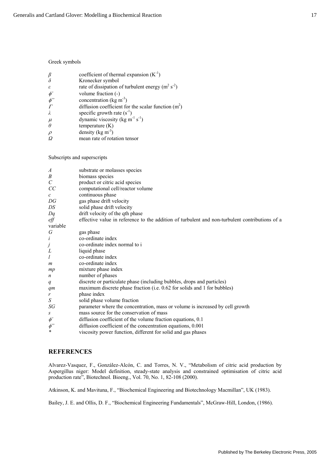#### Greek symbols

|                        | coefficient of thermal expansion $(K^{-1})$             |
|------------------------|---------------------------------------------------------|
| $\frac{\beta}{\delta}$ | Kronecker symbol                                        |
| ε                      | rate of dissipation of turbulent energy $(m^2 s^2)$     |
| $\phi$                 | volume fraction (-)                                     |
| $\phi$ "               | concentration ( $kg \text{ m}^{-3}$ )                   |
| $\Gamma$               | diffusion coefficient for the scalar function $(m2)$    |
| λ                      | specific growth rate $(s^{-1})$                         |
| $\mu$                  | dynamic viscosity (kg m <sup>-1</sup> s <sup>-1</sup> ) |
| $\theta$               | temperature $(K)$                                       |
| $\rho$                 | density ( $\text{kg m}^{-3}$ )                          |
|                        | mean rate of rotation tensor                            |

Subscripts and superscripts

| $\boldsymbol{A}$ | substrate or molasses species                                                                  |
|------------------|------------------------------------------------------------------------------------------------|
| $\boldsymbol{B}$ | biomass species                                                                                |
| $\cal C$         | product or citric acid species                                                                 |
| CC               | computational cell/reactor volume                                                              |
| $\mathcal C$     | continuous phase                                                                               |
| DG               | gas phase drift velocity                                                                       |
| DS               | solid phase drift velocity                                                                     |
| Dq               | drift velocity of the qth phase                                                                |
| $e\!f\!f$        | effective value in reference to the addition of turbulent and non-turbulent contributions of a |
| variable         |                                                                                                |
| $\boldsymbol{G}$ | gas phase                                                                                      |
| i                | co-ordinate index                                                                              |
| j                | co-ordinate index normal to i                                                                  |
| $\cal L$         | liquid phase                                                                                   |
| l                | co-ordinate index                                                                              |
| $\boldsymbol{m}$ | co-ordinate index                                                                              |
| mp               | mixture phase index                                                                            |
| $\boldsymbol{n}$ | number of phases                                                                               |
| q                | discrete or particulate phase (including bubbles, drops and particles)                         |
| qm               | maximum discrete phase fraction (i.e. 0.62 for solids and 1 for bubbles)                       |
| r                | phase index                                                                                    |
| ${\cal S}$       | solid phase volume fraction                                                                    |
| SG               | parameter where the concentration, mass or volume is increased by cell growth                  |
| S                | mass source for the conservation of mass                                                       |
| $\phi'$          | diffusion coefficient of the volume fraction equations, 0.1                                    |
| $\phi$ "         | diffusion coefficient of the concentration equations, 0.001                                    |
| $\ast$           | viscosity power function, different for solid and gas phases                                   |

#### **REFERENCES**

Alvarez-Vasquez, F., González-Alcón, C. and Torres, N. V., "Metabolism of citric acid production by Aspergillus niger: Model definition, steady-state analysis and constrained optimisation of citric acid production rate", Biotechnol. Bioeng., Vol. 70, No. 1, 82-108 (2000).

Atkinson, K. and Mavituna, F., "Biochemical Engineering and Biotechnology Macmillan", UK (1983).

Bailey, J. E. and Ollis, D. F., "Biochemical Engineering Fundamentals", McGraw-Hill, London, (1986).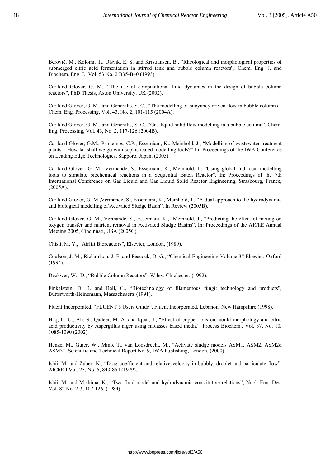Berovič, M., Koloini, T., Olsvik, E. S. and Kristiansen, B., "Rheological and morphological properties of submerged citric acid fermentation in stirred tank and bubble column reactors", Chem. Eng. J. and Biochem. Eng. J., Vol. 53 No. 2 B35-B40 (1993).

Cartland Glover, G. M., "The use of computational fluid dynamics in the design of bubble column reactors", PhD Thesis, Aston University, UK (2002).

Cartland Glover, G. M., and Generalis, S. C., "The modelling of buoyancy driven flow in bubble columns", Chem. Eng. Processing, Vol. 43, No. 2, 101-115 (2004A).

Cartland Glover, G. M., and Generalis, S. C., "Gas-liquid-solid flow modelling in a bubble column", Chem. Eng. Processing, Vol. 43, No. 2, 117-126 (2004B).

Cartland Glover, G.M., Printemps, C.P., Essemiani, K., Meinhold, J., "Modelling of wastewater treatment plants – How far shall we go with sophisticated modelling tools?" In: Proceedings of the IWA Conference on Leading Edge Technologies, Sapporo, Japan, (2005).

Cartland Glover, G. M., Vermande, S., Essemiani, K., Meinhold, J., "Using global and local modelling tools to simulate biochemical reactions in a Sequential Batch Reactor", In: Proceedings of the 7th International Conference on Gas Liquid and Gas Liquid Solid Reactor Engineering, Strasbourg, France, (2005A).

Cartland Glover, G. M.,Vermande, S., Essemiani, K., Meinhold, J., "A dual approach to the hydrodynamic and biological modelling of Activated Sludge Basin", In Review (2005B).

Cartland Glover, G. M., Vermande, S., Essemiani, K., Meinhold, J., "Predicting the effect of mixing on oxygen transfer and nutrient removal in Activated Sludge Basins", In: Proceedings of the AIChE Annual Meeting 2005, Cincinnati, USA (2005C).

Chisti, M. Y., "Airlift Bioreactors", Elsevier, London, (1989).

Coulson, J. M., Richardson, J. F. and Peacock, D. G., "Chemical Engineering Volume 3" Elsevier, Oxford (1994).

Deckwer, W. -D., "Bubble Column Reactors", Wiley, Chichester, (1992).

Finkelstein, D. B. and Ball, C., "Biotechnology of filamentous fungi: technology and products", Butterworth-Heinemann, Massachusetts (1991).

Fluent Incorporated, "FLUENT 5 Users Guide", Fluent Incorporated, Lebanon, New Hampshire (1998).

Haq, I. -U., Ali, S., Qadeer, M. A. and Iqbal, J., "Effect of copper ions on mould morphology and citric acid productivity by Aspergillus niger using molasses based media", Process Biochem., Vol. 37, No. 10, 1085-1090 (2002).

Henze, M., Gujer, W., Mino, T., van Loosdrecht, M., "Activate sludge models ASM1, ASM2, ASM2d ASM3", Scientific and Technical Report No. 9, IWA Publishing, London, (2000).

Ishii, M. and Zuber, N., "Drag coefficient and relative velocity in bubbly, droplet and particulate flow", AIChE J Vol. 25, No. 5, 843-854 (1979).

Ishii, M. and Mishima, K., "Two-fluid model and hydrodynamic constitutive relations", Nucl. Eng. Des. Vol. 82 No. 2-3, 107-126, (1984).